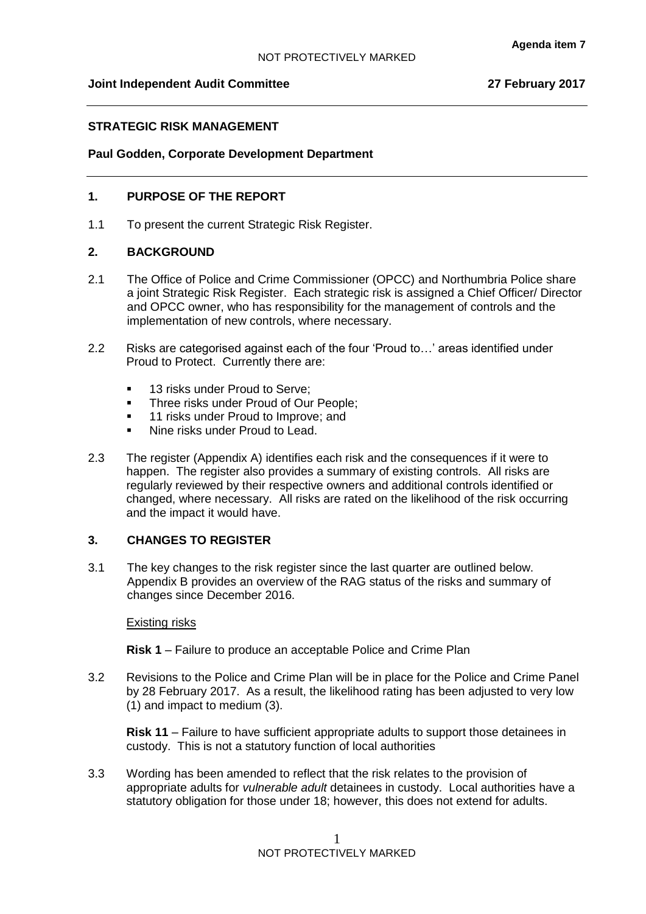### **Joint Independent Audit Committee 27 February 2017**

## **STRATEGIC RISK MANAGEMENT**

### **Paul Godden, Corporate Development Department**

## **1. PURPOSE OF THE REPORT**

1.1 To present the current Strategic Risk Register.

### **2. BACKGROUND**

- 2.1 The Office of Police and Crime Commissioner (OPCC) and Northumbria Police share a joint Strategic Risk Register. Each strategic risk is assigned a Chief Officer/ Director and OPCC owner, who has responsibility for the management of controls and the implementation of new controls, where necessary.
- 2.2 Risks are categorised against each of the four 'Proud to…' areas identified under Proud to Protect. Currently there are:
	- **13 risks under Proud to Serve:**
	- Three risks under Proud of Our People;
	- **11 risks under Proud to Improve; and**
	- Nine risks under Proud to Lead.
- 2.3 The register (Appendix A) identifies each risk and the consequences if it were to happen. The register also provides a summary of existing controls. All risks are regularly reviewed by their respective owners and additional controls identified or changed, where necessary. All risks are rated on the likelihood of the risk occurring and the impact it would have.

## **3. CHANGES TO REGISTER**

3.1 The key changes to the risk register since the last quarter are outlined below. Appendix B provides an overview of the RAG status of the risks and summary of changes since December 2016.

#### Existing risks

**Risk 1** – Failure to produce an acceptable Police and Crime Plan

3.2 Revisions to the Police and Crime Plan will be in place for the Police and Crime Panel by 28 February 2017. As a result, the likelihood rating has been adjusted to very low (1) and impact to medium (3).

**Risk 11** – Failure to have sufficient appropriate adults to support those detainees in custody. This is not a statutory function of local authorities

3.3 Wording has been amended to reflect that the risk relates to the provision of appropriate adults for *vulnerable adult* detainees in custody. Local authorities have a statutory obligation for those under 18; however, this does not extend for adults.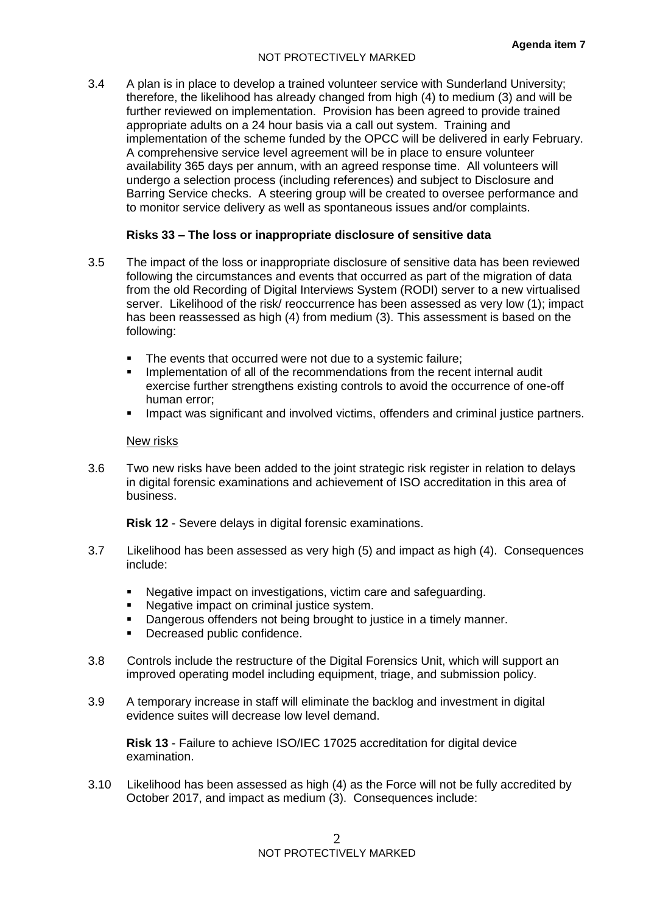3.4 A plan is in place to develop a trained volunteer service with Sunderland University; therefore, the likelihood has already changed from high (4) to medium (3) and will be further reviewed on implementation. Provision has been agreed to provide trained appropriate adults on a 24 hour basis via a call out system. Training and implementation of the scheme funded by the OPCC will be delivered in early February. A comprehensive service level agreement will be in place to ensure volunteer availability 365 days per annum, with an agreed response time. All volunteers will undergo a selection process (including references) and subject to Disclosure and Barring Service checks. A steering group will be created to oversee performance and to monitor service delivery as well as spontaneous issues and/or complaints.

### **Risks 33 – The loss or inappropriate disclosure of sensitive data**

- 3.5 The impact of the loss or inappropriate disclosure of sensitive data has been reviewed following the circumstances and events that occurred as part of the migration of data from the old Recording of Digital Interviews System (RODI) server to a new virtualised server. Likelihood of the risk/ reoccurrence has been assessed as very low (1); impact has been reassessed as high (4) from medium (3). This assessment is based on the following:
	- The events that occurred were not due to a systemic failure;
	- Implementation of all of the recommendations from the recent internal audit exercise further strengthens existing controls to avoid the occurrence of one-off human error;
	- Impact was significant and involved victims, offenders and criminal justice partners.

### New risks

3.6 Two new risks have been added to the joint strategic risk register in relation to delays in digital forensic examinations and achievement of ISO accreditation in this area of business.

**Risk 12** - Severe delays in digital forensic examinations.

- 3.7 Likelihood has been assessed as very high (5) and impact as high (4). Consequences include:
	- Negative impact on investigations, victim care and safeguarding.
	- Negative impact on criminal justice system.
	- Dangerous offenders not being brought to justice in a timely manner.
	- Decreased public confidence.
- 3.8 Controls include the restructure of the Digital Forensics Unit, which will support an improved operating model including equipment, triage, and submission policy.
- 3.9 A temporary increase in staff will eliminate the backlog and investment in digital evidence suites will decrease low level demand.

**Risk 13** - Failure to achieve ISO/IEC 17025 accreditation for digital device examination.

3.10 Likelihood has been assessed as high (4) as the Force will not be fully accredited by October 2017, and impact as medium (3). Consequences include: